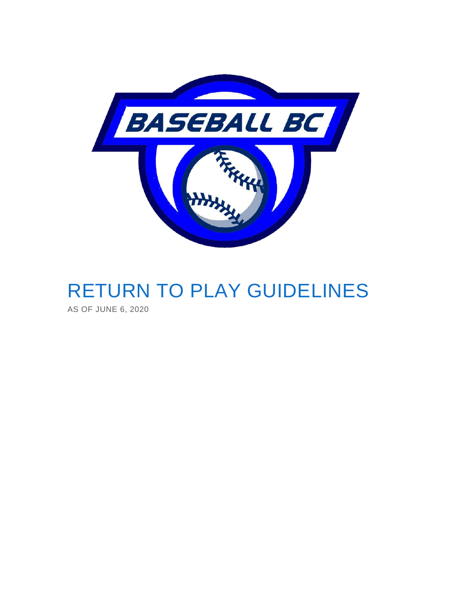

# RETURN TO PLAY GUIDELINES

AS OF JUNE 6, 2020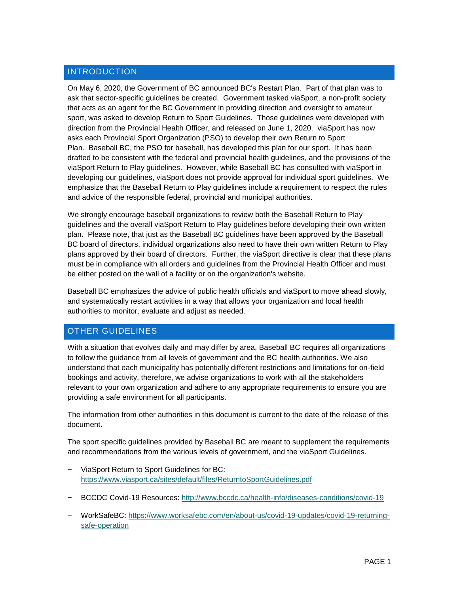#### **INTRODUCTION**

On May 6, 2020, the Government of BC announced BC's Restart Plan. Part of that plan was to ask that sector-specific guidelines be created. Government tasked viaSport, a non-profit society that acts as an agent for the BC Government in providing direction and oversight to amateur sport, was asked to develop Return to Sport Guidelines. Those guidelines were developed with direction from the Provincial Health Officer, and released on June 1, 2020. viaSport has now asks each Provincial Sport Organization (PSO) to develop their own Return to Sport Plan. Baseball BC, the PSO for baseball, has developed this plan for our sport. It has been drafted to be consistent with the federal and provincial health guidelines, and the provisions of the viaSport Return to Play guidelines. However, while Baseball BC has consulted with viaSport in developing our guidelines, viaSport does not provide approval for individual sport guidelines. We emphasize that the Baseball Return to Play guidelines include a requirement to respect the rules and advice of the responsible federal, provincial and municipal authorities.

We strongly encourage baseball organizations to review both the Baseball Return to Play guidelines and the overall viaSport Return to Play guidelines before developing their own written plan. Please note, that just as the Baseball BC guidelines have been approved by the Baseball BC board of directors, individual organizations also need to have their own written Return to Play plans approved by their board of directors. Further, the viaSport directive is clear that these plans must be in compliance with all orders and guidelines from the Provincial Health Officer and must be either posted on the wall of a facility or on the organization's website.

Baseball BC emphasizes the advice of public health officials and viaSport to move ahead slowly, and systematically restart activities in a way that allows your organization and local health authorities to monitor, evaluate and adjust as needed.

# OTHER GUIDELINES

With a situation that evolves daily and may differ by area, Baseball BC requires all organizations to follow the guidance from all levels of government and the BC health authorities. We also understand that each municipality has potentially different restrictions and limitations for on-field bookings and activity, therefore, we advise organizations to work with all the stakeholders relevant to your own organization and adhere to any appropriate requirements to ensure you are providing a safe environment for all participants.

The information from other authorities in this document is current to the date of the release of this document.

The sport specific guidelines provided by Baseball BC are meant to supplement the requirements and recommendations from the various levels of government, and the viaSport Guidelines.

- − ViaSport Return to Sport Guidelines for BC: <https://www.viasport.ca/sites/default/files/ReturntoSportGuidelines.pdf>
- − BCCDC Covid-19 Resources:<http://www.bccdc.ca/health-info/diseases-conditions/covid-19>
- − WorkSafeBC: [https://www.worksafebc.com/en/about-us/covid-19-updates/covid-19-returning](https://www.worksafebc.com/en/about-us/covid-19-updates/covid-19-returning-safe-operation)[safe-operation](https://www.worksafebc.com/en/about-us/covid-19-updates/covid-19-returning-safe-operation)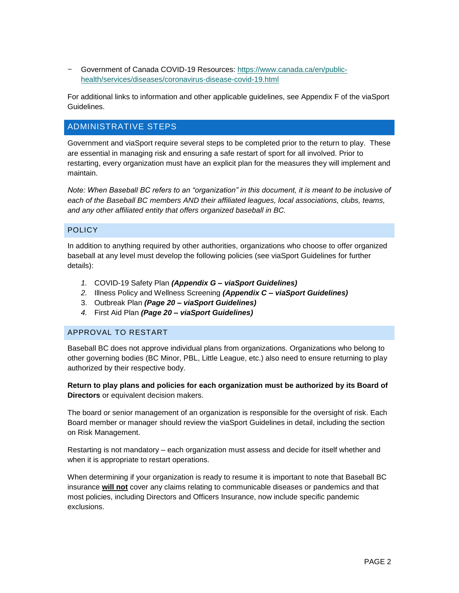− Government of Canada COVID-19 Resources: [https://www.canada.ca/en/public](https://www.canada.ca/en/public-health/services/diseases/coronavirus-disease-covid-19.html)[health/services/diseases/coronavirus-disease-covid-19.html](https://www.canada.ca/en/public-health/services/diseases/coronavirus-disease-covid-19.html)

For additional links to information and other applicable guidelines, see Appendix F of the viaSport Guidelines.

#### ADMINISTRATIVE STEPS

Government and viaSport require several steps to be completed prior to the return to play. These are essential in managing risk and ensuring a safe restart of sport for all involved. Prior to restarting, every organization must have an explicit plan for the measures they will implement and maintain.

*Note: When Baseball BC refers to an "organization" in this document, it is meant to be inclusive of each of the Baseball BC members AND their affiliated leagues, local associations, clubs, teams, and any other affiliated entity that offers organized baseball in BC.* 

#### POLICY

In addition to anything required by other authorities, organizations who choose to offer organized baseball at any level must develop the following policies (see viaSport Guidelines for further details):

- *1.* COVID-19 Safety Plan *(Appendix G – viaSport Guidelines)*
- *2.* Illness Policy and Wellness Screening *(Appendix C – viaSport Guidelines)*
- 3. Outbreak Plan *(Page 20 – viaSport Guidelines)*
- *4.* First Aid Plan *(Page 20 – viaSport Guidelines)*

#### APPROVAL TO RESTART

Baseball BC does not approve individual plans from organizations. Organizations who belong to other governing bodies (BC Minor, PBL, Little League, etc.) also need to ensure returning to play authorized by their respective body.

**Return to play plans and policies for each organization must be authorized by its Board of Directors** or equivalent decision makers.

The board or senior management of an organization is responsible for the oversight of risk. Each Board member or manager should review the viaSport Guidelines in detail, including the section on Risk Management.

Restarting is not mandatory – each organization must assess and decide for itself whether and when it is appropriate to restart operations.

When determining if your organization is ready to resume it is important to note that Baseball BC insurance **will not** cover any claims relating to communicable diseases or pandemics and that most policies, including Directors and Officers Insurance, now include specific pandemic exclusions.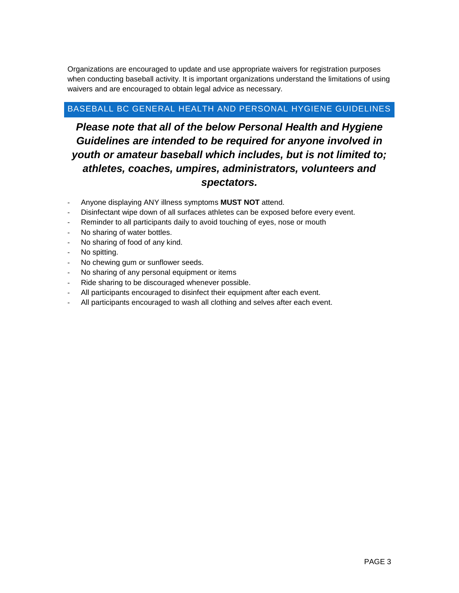Organizations are encouraged to update and use appropriate waivers for registration purposes when conducting baseball activity. It is important organizations understand the limitations of using waivers and are encouraged to obtain legal advice as necessary.

## BASEBALL BC GENERAL HEALTH AND PERSONAL HYGIENE GUIDELINES

# *Please note that all of the below Personal Health and Hygiene Guidelines are intended to be required for anyone involved in youth or amateur baseball which includes, but is not limited to; athletes, coaches, umpires, administrators, volunteers and spectators.*

- Anyone displaying ANY illness symptoms **MUST NOT** attend.
- Disinfectant wipe down of all surfaces athletes can be exposed before every event.
- Reminder to all participants daily to avoid touching of eyes, nose or mouth
- No sharing of water bottles.
- No sharing of food of any kind.
- No spitting.
- No chewing gum or sunflower seeds.
- No sharing of any personal equipment or items
- Ride sharing to be discouraged whenever possible.
- All participants encouraged to disinfect their equipment after each event.
- All participants encouraged to wash all clothing and selves after each event.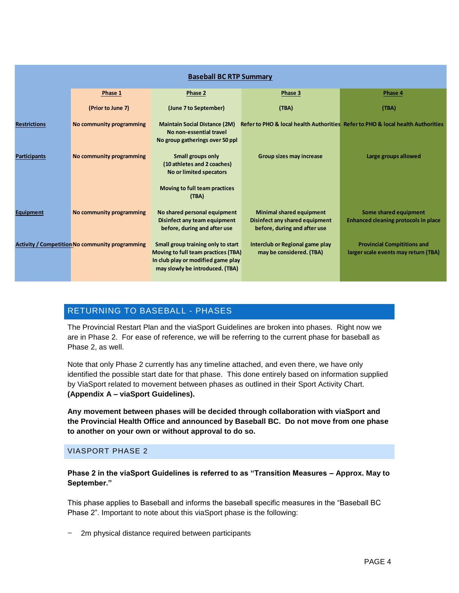| <b>Baseball BC RTP Summary</b> |                                                        |                                                                                                                                                    |                                                                                                   |                                                                                 |
|--------------------------------|--------------------------------------------------------|----------------------------------------------------------------------------------------------------------------------------------------------------|---------------------------------------------------------------------------------------------------|---------------------------------------------------------------------------------|
|                                | Phase 1                                                | Phase 2                                                                                                                                            | Phase 3                                                                                           | Phase 4                                                                         |
|                                | (Prior to June 7)                                      | (June 7 to September)                                                                                                                              | (TBA)                                                                                             | (TBA)                                                                           |
| <b>Restrictions</b>            | No community programming                               | <b>Maintain Social Distance (2M)</b><br>No non-essential travel<br>No group gatherings over 50 ppl                                                 |                                                                                                   | Refer to PHO & local health Authorities Refer to PHO & local health Authorities |
| <b>Participants</b>            | No community programming                               | Small groups only<br>(10 athletes and 2 coaches)<br>No or limited specators                                                                        | Group sizes may increase                                                                          | Large groups allowed                                                            |
|                                |                                                        | Moving to full team practices<br>(TBA)                                                                                                             |                                                                                                   |                                                                                 |
| Equipment                      | No community programming                               | No shared personal equipment<br>Disinfect any team equipment<br>before, during and after use                                                       | <b>Minimal shared equipment</b><br>Disinfect any shared equipment<br>before, during and after use | Some shared equipment<br><b>Enhanced cleaning protocols in place</b>            |
|                                | <b>Activity / Competition No community programming</b> | Small group training only to start<br>Moving to full team practices (TBA)<br>In club play or modified game play<br>may slowly be introduced. (TBA) | Interclub or Regional game play<br>may be considered. (TBA)                                       | <b>Provincial Compititions and</b><br>larger scale events may return (TBA)      |

# RETURNING TO BASEBALL - PHASES

The Provincial Restart Plan and the viaSport Guidelines are broken into phases. Right now we are in Phase 2. For ease of reference, we will be referring to the current phase for baseball as Phase 2, as well.

Note that only Phase 2 currently has any timeline attached, and even there, we have only identified the possible start date for that phase. This done entirely based on information supplied by ViaSport related to movement between phases as outlined in their Sport Activity Chart. **(Appendix A – viaSport Guidelines).**

**Any movement between phases will be decided through collaboration with viaSport and the Provincial Health Office and announced by Baseball BC. Do not move from one phase to another on your own or without approval to do so.**

#### VIASPORT PHASE 2

**Phase 2 in the viaSport Guidelines is referred to as "Transition Measures – Approx. May to September."**

This phase applies to Baseball and informs the baseball specific measures in the "Baseball BC Phase 2". Important to note about this viaSport phase is the following:

− 2m physical distance required between participants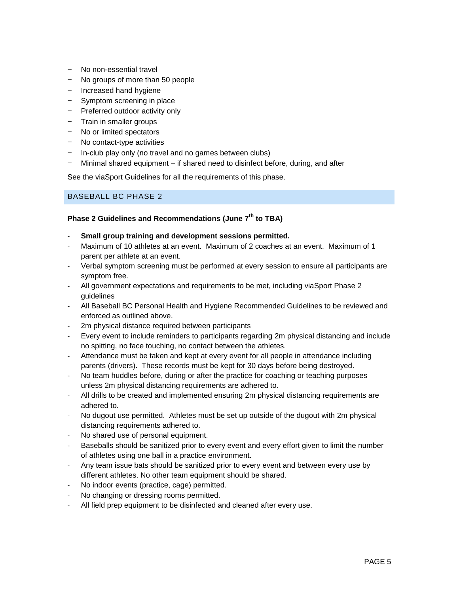- − No non-essential travel
- − No groups of more than 50 people
- − Increased hand hygiene
- − Symptom screening in place
- − Preferred outdoor activity only
- − Train in smaller groups
- − No or limited spectators
- − No contact-type activities
- − In-club play only (no travel and no games between clubs)
- − Minimal shared equipment if shared need to disinfect before, during, and after

See the viaSport Guidelines for all the requirements of this phase.

#### BASEBALL BC PHASE 2

### **Phase 2 Guidelines and Recommendations (June 7th to TBA)**

- **Small group training and development sessions permitted.**
- Maximum of 10 athletes at an event. Maximum of 2 coaches at an event. Maximum of 1 parent per athlete at an event.
- Verbal symptom screening must be performed at every session to ensure all participants are symptom free.
- All government expectations and requirements to be met, including viaSport Phase 2 guidelines
- All Baseball BC Personal Health and Hygiene Recommended Guidelines to be reviewed and enforced as outlined above.
- 2m physical distance required between participants
- Every event to include reminders to participants regarding 2m physical distancing and include no spitting, no face touching, no contact between the athletes.
- Attendance must be taken and kept at every event for all people in attendance including parents (drivers). These records must be kept for 30 days before being destroyed.
- No team huddles before, during or after the practice for coaching or teaching purposes unless 2m physical distancing requirements are adhered to.
- All drills to be created and implemented ensuring 2m physical distancing requirements are adhered to.
- No dugout use permitted. Athletes must be set up outside of the dugout with 2m physical distancing requirements adhered to.
- No shared use of personal equipment.
- Baseballs should be sanitized prior to every event and every effort given to limit the number of athletes using one ball in a practice environment.
- Any team issue bats should be sanitized prior to every event and between every use by different athletes. No other team equipment should be shared.
- No indoor events (practice, cage) permitted.
- No changing or dressing rooms permitted.
- All field prep equipment to be disinfected and cleaned after every use.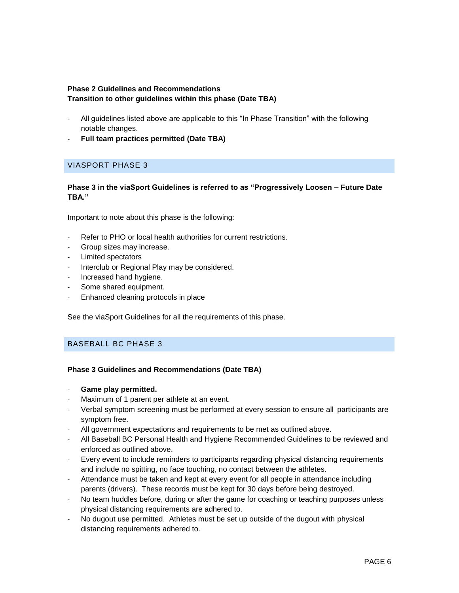#### **Phase 2 Guidelines and Recommendations Transition to other guidelines within this phase (Date TBA)**

- All guidelines listed above are applicable to this "In Phase Transition" with the following notable changes.
- **Full team practices permitted (Date TBA)**

# VIASPORT PHASE 3

#### **Phase 3 in the viaSport Guidelines is referred to as "Progressively Loosen – Future Date TBA."**

Important to note about this phase is the following:

- Refer to PHO or local health authorities for current restrictions.
- Group sizes may increase.
- Limited spectators
- Interclub or Regional Play may be considered.
- Increased hand hygiene.
- Some shared equipment.
- Enhanced cleaning protocols in place

See the viaSport Guidelines for all the requirements of this phase.

#### BASEBALL BC PHASE 3

#### **Phase 3 Guidelines and Recommendations (Date TBA)**

- Game play permitted.
- Maximum of 1 parent per athlete at an event.
- Verbal symptom screening must be performed at every session to ensure all participants are symptom free.
- All government expectations and requirements to be met as outlined above.
- All Baseball BC Personal Health and Hygiene Recommended Guidelines to be reviewed and enforced as outlined above.
- Every event to include reminders to participants regarding physical distancing requirements and include no spitting, no face touching, no contact between the athletes.
- Attendance must be taken and kept at every event for all people in attendance including parents (drivers). These records must be kept for 30 days before being destroyed.
- No team huddles before, during or after the game for coaching or teaching purposes unless physical distancing requirements are adhered to.
- No dugout use permitted. Athletes must be set up outside of the dugout with physical distancing requirements adhered to.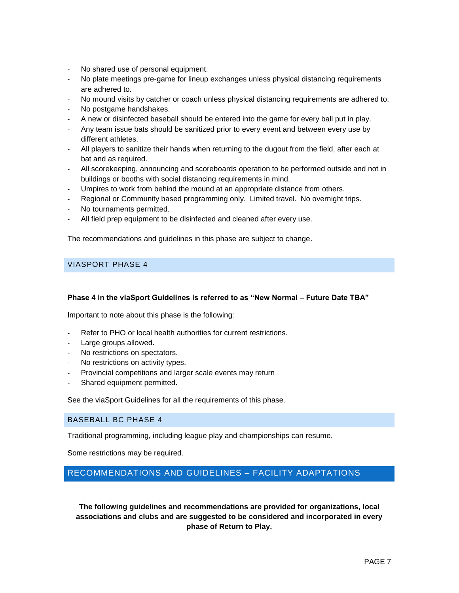- No shared use of personal equipment.
- No plate meetings pre-game for lineup exchanges unless physical distancing requirements are adhered to.
- No mound visits by catcher or coach unless physical distancing requirements are adhered to.
- No postgame handshakes.
- A new or disinfected baseball should be entered into the game for every ball put in play.
- Any team issue bats should be sanitized prior to every event and between every use by different athletes.
- All players to sanitize their hands when returning to the dugout from the field, after each at bat and as required.
- All scorekeeping, announcing and scoreboards operation to be performed outside and not in buildings or booths with social distancing requirements in mind.
- Umpires to work from behind the mound at an appropriate distance from others.
- Regional or Community based programming only. Limited travel. No overnight trips.
- No tournaments permitted.
- All field prep equipment to be disinfected and cleaned after every use.

The recommendations and guidelines in this phase are subject to change.

#### VIASPORT PHASE 4

#### **Phase 4 in the viaSport Guidelines is referred to as "New Normal – Future Date TBA"**

Important to note about this phase is the following:

- Refer to PHO or local health authorities for current restrictions.
- Large groups allowed.
- No restrictions on spectators.
- No restrictions on activity types.
- Provincial competitions and larger scale events may return
- Shared equipment permitted.

See the viaSport Guidelines for all the requirements of this phase.

#### BASEBALL BC PHASE 4

Traditional programming, including league play and championships can resume.

Some restrictions may be required.

# RECOMMENDATIONS AND GUIDELINES – FACILITY ADAPTATIONS

**The following guidelines and recommendations are provided for organizations, local associations and clubs and are suggested to be considered and incorporated in every phase of Return to Play.**